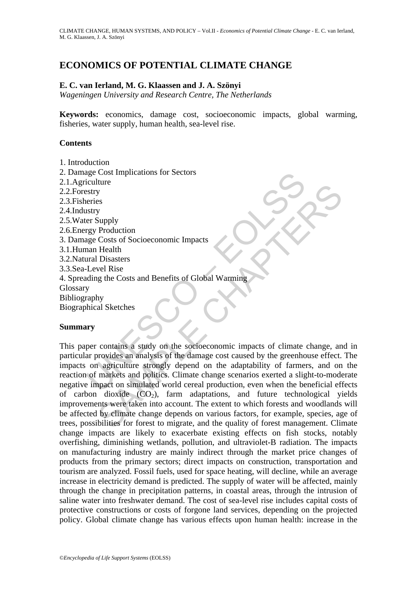# **ECONOMICS OF POTENTIAL CLIMATE CHANGE**

### **E. C. van Ierland, M. G. Klaassen and J. A. Szönyi**

*Wageningen University and Research Centre, The Netherlands* 

**Keywords:** economics, damage cost, socioeconomic impacts, global warming, fisheries, water supply, human health, sea-level rise.

### **Contents**

- 1. Introduction
- 2. Damage Cost Implications for Sectors
- 2.1.Agriculture
- 2.2.Forestry
- 2.3.Fisheries
- 2.4.Industry
- 2.5.Water Supply
- 2.6.Energy Production
- 3. Damage Costs of Socioeconomic Impacts
- 3.1.Human Health
- 3.2.Natural Disasters
- 3.3.Sea-Level Rise
- 4. Spreading the Costs and Benefits of Global Warming
- Glossary
- Bibliography
- Biographical Sketches

#### **Summary**

age Cost Implications for Sectors<br>
Existry<br>
Estry<br>
Estry<br>
Estry<br>
Encircles<br>
Estry<br>
Encircles<br>
Estry<br>
and Disasters<br>
Level Rise<br>
and Health<br>
and Disasters<br>
Level Rise<br>
And Disasters<br>
Level Rise<br>
And Disasters<br>
The Microsoft Wy<br>
y<br>
y<br>
Production<br>
Health<br>
Health<br>
Production<br>
Costs of Socioeconomic Impacts<br>
Disasters<br>
vel Rise<br>
vel Rise<br>
vel Rise<br>
vel Rise<br>
vel Rise<br>
vel Rise<br>
vel Rise<br>
vel Rise<br>
vel Rise<br>
vel Rise<br>
vel Rise<br>
vel Rise<br>
vel Sampl This paper contains a study on the socioeconomic impacts of climate change, and in particular provides an analysis of the damage cost caused by the greenhouse effect. The impacts on agriculture strongly depend on the adaptability of farmers, and on the reaction of markets and politics. Climate change scenarios exerted a slight-to-moderate negative impact on simulated world cereal production, even when the beneficial effects of carbon dioxide  $(CO<sub>2</sub>)$ , farm adaptations, and future technological yields improvements were taken into account. The extent to which forests and woodlands will be affected by climate change depends on various factors, for example, species, age of trees, possibilities for forest to migrate, and the quality of forest management. Climate change impacts are likely to exacerbate existing effects on fish stocks, notably overfishing, diminishing wetlands, pollution, and ultraviolet-B radiation. The impacts on manufacturing industry are mainly indirect through the market price changes of products from the primary sectors; direct impacts on construction, transportation and tourism are analyzed. Fossil fuels, used for space heating, will decline, while an average increase in electricity demand is predicted. The supply of water will be affected, mainly through the change in precipitation patterns, in coastal areas, through the intrusion of saline water into freshwater demand. The cost of sea-level rise includes capital costs of protective constructions or costs of forgone land services, depending on the projected policy. Global climate change has various effects upon human health: increase in the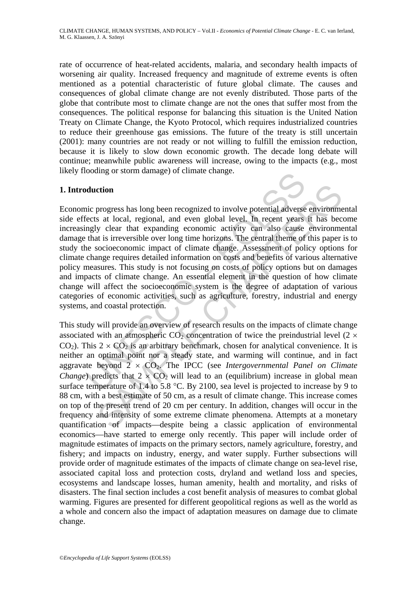rate of occurrence of heat-related accidents, malaria, and secondary health impacts of worsening air quality. Increased frequency and magnitude of extreme events is often mentioned as a potential characteristic of future global climate. The causes and consequences of global climate change are not evenly distributed. Those parts of the globe that contribute most to climate change are not the ones that suffer most from the consequences. The political response for balancing this situation is the United Nation Treaty on Climate Change, the Kyoto Protocol, which requires industrialized countries to reduce their greenhouse gas emissions. The future of the treaty is still uncertain (2001): many countries are not ready or not willing to fulfill the emission reduction, because it is likely to slow down economic growth. The decade long debate will continue; meanwhile public awareness will increase, owing to the impacts (e.g., most likely flooding or storm damage) of climate change.

## **1. Introduction**

**duction**<br>
inc progress has long been recognized to involve potential adverse<br>
ects at local, regional, and even global level. In recent years<br>
negly clear that expanding economic activity can also cause<br>
that is irrevers Economic progress has long been recognized to involve potential adverse environmental side effects at local, regional, and even global level. In recent years it has become increasingly clear that expanding economic activity can also cause environmental damage that is irreversible over long time horizons. The central theme of this paper is to study the socioeconomic impact of climate change. Assessment of policy options for climate change requires detailed information on costs and benefits of various alternative policy measures. This study is not focusing on costs of policy options but on damages and impacts of climate change. An essential element in the question of how climate change will affect the socioeconomic system is the degree of adaptation of various categories of economic activities, such as agriculture, forestry, industrial and energy systems, and coastal protection.

ction<br>progress has long been recognized to involve potential adverse environmes at local, regional, and even global level. In recent years if has been<br>y clear that expanding economic activity can also cause environmes<br>it This study will provide an overview of research results on the impacts of climate change associated with an atmospheric  $CO_2$  concentration of twice the preindustrial level (2  $\times$  $CO<sub>2</sub>$ ). This 2 ×  $CO<sub>2</sub>$  is an arbitrary benchmark, chosen for analytical convenience. It is neither an optimal point nor a steady state, and warming will continue, and in fact aggravate beyond 2 × CO2. The IPCC (see *Intergovernmental Panel on Climate Change*) predicts that  $2 \times CO_2$  will lead to an (equilibrium) increase in global mean surface temperature of 1.4 to 5.8 °C. By 2100, sea level is projected to increase by 9 to 88 cm, with a best estimate of 50 cm, as a result of climate change. This increase comes on top of the present trend of 20 cm per century. In addition, changes will occur in the frequency and intensity of some extreme climate phenomena. Attempts at a monetary quantification of impacts—despite being a classic application of environmental economics—have started to emerge only recently. This paper will include order of magnitude estimates of impacts on the primary sectors, namely agriculture, forestry, and fishery; and impacts on industry, energy, and water supply. Further subsections will provide order of magnitude estimates of the impacts of climate change on sea-level rise, associated capital loss and protection costs, dryland and wetland loss and species, ecosystems and landscape losses, human amenity, health and mortality, and risks of disasters. The final section includes a cost benefit analysis of measures to combat global warming. Figures are presented for different geopolitical regions as well as the world as a whole and concern also the impact of adaptation measures on damage due to climate change.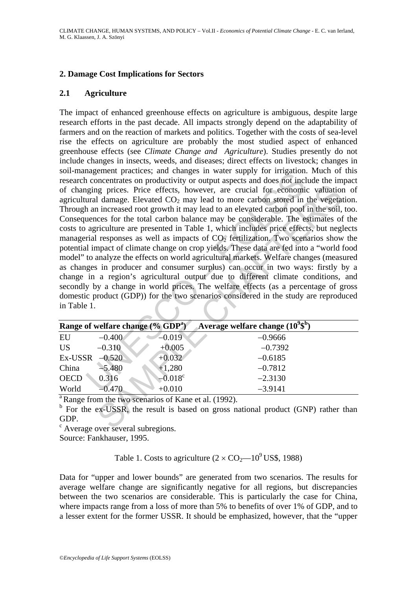### **2. Damage Cost Implications for Sectors**

#### **2.1 Agriculture**

and<br>
an concentrates on productivity or untue supply for integation<br>
an concentrates on productivity or untue spects and does not include<br>
ural damage. Elevated CO<sub>2</sub> may lead to more carbon stored in<br>
ural damage. Elevat may prices. Price effects, however, are crucial for economic valuation<br>damage. Elevated CO<sub>2</sub> may lead to more carbon stored in the vegetation<br>increased root growth it may lead to an elevated cabon pool in the soil<br>increa The impact of enhanced greenhouse effects on agriculture is ambiguous, despite large research efforts in the past decade. All impacts strongly depend on the adaptability of farmers and on the reaction of markets and politics. Together with the costs of sea-level rise the effects on agriculture are probably the most studied aspect of enhanced greenhouse effects (see *Climate Change and Agriculture*). Studies presently do not include changes in insects, weeds, and diseases; direct effects on livestock; changes in soil-management practices; and changes in water supply for irrigation. Much of this research concentrates on productivity or output aspects and does not include the impact of changing prices. Price effects, however, are crucial for economic valuation of agricultural damage. Elevated  $CO<sub>2</sub>$  may lead to more carbon stored in the vegetation. Through an increased root growth it may lead to an elevated carbon pool in the soil, too. Consequences for the total carbon balance may be considerable. The estimates of the costs to agriculture are presented in Table 1, which includes price effects, but neglects managerial responses as well as impacts of  $CO<sub>2</sub>$  fertilization. Two scenarios show the potential impact of climate change on crop yields. These data are fed into a "world food model" to analyze the effects on world agricultural markets. Welfare changes (measured as changes in producer and consumer surplus) can occur in two ways: firstly by a change in a region's agricultural output due to different climate conditions, and secondly by a change in world prices. The welfare effects (as a percentage of gross domestic product (GDP)) for the two scenarios considered in the study are reproduced in Table 1.

|                  |          | Range of welfare change $(\%$ GDP <sup>a</sup> ) | Average welfare change $(10^9\$^b)$ |
|------------------|----------|--------------------------------------------------|-------------------------------------|
| EU               | $-0.400$ | $-0.019$                                         | $-0.9666$                           |
| <b>US</b>        | $-0.310$ | $+0.005$                                         | $-0.7392$                           |
| Ex-USSR $-0.520$ |          | $+0.032$                                         | $-0.6185$                           |
| China            | $-5.480$ | $+1,280$                                         | $-0.7812$                           |
| <b>OECD</b>      | 0.316    | $-0.018^c$                                       | $-2.3130$                           |
| World            | $-0.470$ | $+0.010$                                         | $-3.9141$                           |

 $^{\circ}$ Range from the two scenarios of Kane et al. (1992).

<sup>b</sup> For the ex-USSR, the result is based on gross national product (GNP) rather than GDP.

<sup>c</sup> Average over several subregions.

Source: Fankhauser, 1995.

Table 1. Costs to agriculture  $(2 \times CO_2$ — $10^9$  US\$, 1988)

Data for "upper and lower bounds" are generated from two scenarios. The results for average welfare change are significantly negative for all regions, but discrepancies between the two scenarios are considerable. This is particularly the case for China, where impacts range from a loss of more than 5% to benefits of over 1% of GDP, and to a lesser extent for the former USSR. It should be emphasized, however, that the "upper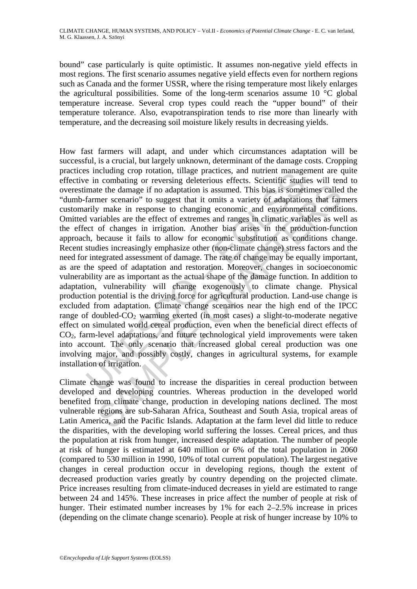bound" case particularly is quite optimistic. It assumes non-negative yield effects in most regions. The first scenario assumes negative yield effects even for northern regions such as Canada and the former USSR, where the rising temperature most likely enlarges the agricultural possibilities. Some of the long-term scenarios assume 10 °C global temperature increase. Several crop types could reach the "upper bound" of their temperature tolerance. Also, evapotranspiration tends to rise more than linearly with temperature, and the decreasing soil moisture likely results in decreasing yields.

is michal and the diamage to a controllation and the diamage of botanic manage of in a multimum than the damage if no adaptation is assumed. This bias is somet farmer scenario" to suggest that it omits a variety of adaptat ite the damage if no adaptation is assumed. This bias is sometimes called<br>ner scenario" to suggest that it mits a variety of adaptations that far<br>mer scenario" to suggest that it mits a variety of adaptations that far<br>meas How fast farmers will adapt, and under which circumstances adaptation will be successful, is a crucial, but largely unknown, determinant of the damage costs. Cropping practices including crop rotation, tillage practices, and nutrient management are quite effective in combating or reversing deleterious effects. Scientific studies will tend to overestimate the damage if no adaptation is assumed. This bias is sometimes called the "dumb-farmer scenario" to suggest that it omits a variety of adaptations that farmers customarily make in response to changing economic and environmental conditions. Omitted variables are the effect of extremes and ranges in climatic variables as well as the effect of changes in irrigation. Another bias arises in the production-function approach, because it fails to allow for economic substitution as conditions change. Recent studies increasingly emphasize other (non-climate change) stress factors and the need for integrated assessment of damage. The rate of change may be equally important, as are the speed of adaptation and restoration. Moreover, changes in socioeconomic vulnerability are as important as the actual shape of the damage function. In addition to adaptation, vulnerability will change exogenously to climate change. Physical production potential is the driving force for agricultural production. Land-use change is excluded from adaptation. Climate change scenarios near the high end of the IPCC range of doubled- $CO<sub>2</sub>$  warming exerted (in most cases) a slight-to-moderate negative effect on simulated world cereal production, even when the beneficial direct effects of CO2, farm-level adaptations, and future technological yield improvements were taken into account. The only scenario that increased global cereal production was one involving major, and possibly costly, changes in agricultural systems, for example installation of irrigation.

Climate change was found to increase the disparities in cereal production between developed and developing countries. Whereas production in the developed world benefited from climate change, production in developing nations declined. The most vulnerable regions are sub-Saharan Africa, Southeast and South Asia, tropical areas of Latin America, and the Pacific Islands. Adaptation at the farm level did little to reduce the disparities, with the developing world suffering the losses. Cereal prices, and thus the population at risk from hunger, increased despite adaptation. The number of people at risk of hunger is estimated at 640 million or 6% of the total population in 2060 (compared to 530 million in 1990, 10% of total current population). The largest negative changes in cereal production occur in developing regions, though the extent of decreased production varies greatly by country depending on the projected climate. Price increases resulting from climate-induced decreases in yield are estimated to range between 24 and 145%. These increases in price affect the number of people at risk of hunger. Their estimated number increases by 1% for each 2–2.5% increase in prices (depending on the climate change scenario). People at risk of hunger increase by 10% to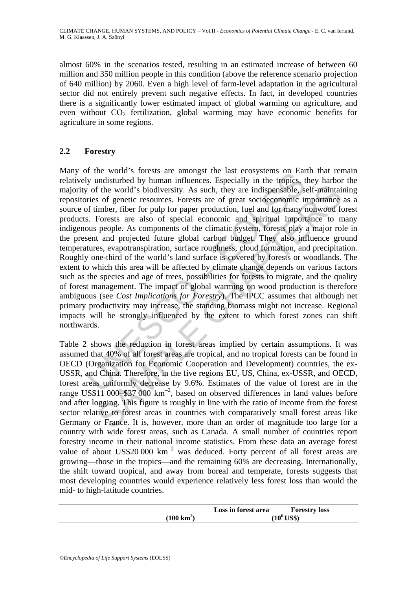almost 60% in the scenarios tested, resulting in an estimated increase of between 60 million and 350 million people in this condition (above the reference scenario projection of 640 million) by 2060. Even a high level of farm-level adaptation in the agricultural sector did not entirely prevent such negative effects. In fact, in developed countries there is a significantly lower estimated impact of global warming on agriculture, and even without  $CO<sub>2</sub>$  fertilization, global warming may have economic benefits for agriculture in some regions.

# **2.2 Forestry**

The world softess are amongst the rast ecosystems on Eart of the world China. There is the average of the world's biodiversity. As such, they are indispensable, sories of genetic resources. Forests are of great socioecono If the world's biodiversity. As such, they are indispensable, self-maintain of genetic resources. Forests are of great socioeconomic importance from public from public primates of great socioeconomic importance from publi Many of the world's forests are amongst the last ecosystems on Earth that remain relatively undisturbed by human influences. Especially in the tropics, they harbor the majority of the world's biodiversity. As such, they are indispensable, self-maintaining repositories of genetic resources. Forests are of great socioeconomic importance as a source of timber, fiber for pulp for paper production, fuel and for many nonwood forest products. Forests are also of special economic and spiritual importance to many indigenous people. As components of the climatic system, forests play a major role in the present and projected future global carbon budget. They also influence ground temperatures, evapotranspiration, surface roughness, cloud formation, and precipitation. Roughly one-third of the world's land surface is covered by forests or woodlands. The extent to which this area will be affected by climate change depends on various factors such as the species and age of trees, possibilities for forests to migrate, and the quality of forest management. The impact of global warming on wood production is therefore ambiguous (see *Cost Implications for Forestry*). The IPCC assumes that although net primary productivity may increase, the standing biomass might not increase. Regional impacts will be strongly influenced by the extent to which forest zones can shift northwards.

Table 2 shows the reduction in forest areas implied by certain assumptions. It was assumed that 40% of all forest areas are tropical, and no tropical forests can be found in OECD (Organization for Economic Cooperation and Development) countries, the ex-USSR, and China. Therefore, in the five regions EU, US, China, ex-USSR, and OECD, forest areas uniformly decrease by 9.6%. Estimates of the value of forest are in the range US\$11 000–\$37 000  $km^{-2}$ , based on observed differences in land values before and after logging. This figure is roughly in line with the ratio of income from the forest sector relative to forest areas in countries with comparatively small forest areas like Germany or France. It is, however, more than an order of magnitude too large for a country with wide forest areas, such as Canada. A small number of countries report forestry income in their national income statistics. From these data an average forest value of about US\$20 000  $km^{-2}$  was deduced. Forty percent of all forest areas are growing—those in the tropics—and the remaining 60% are decreasing. Internationally, the shift toward tropical, and away from boreal and temperate, forests suggests that most developing countries would experience relatively less forest loss than would the mid- to high-latitude countries.

|                      | Loss in forest area | <b>Forestry loss</b>   |
|----------------------|---------------------|------------------------|
| $(100 \text{ km}^2)$ |                     | $(10^6\, \text{US}\$)$ |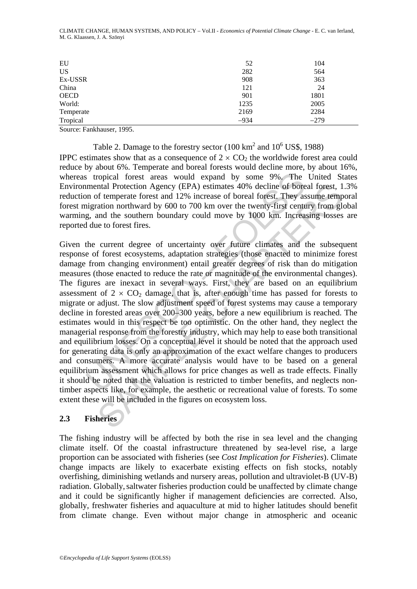| EU          | 52     | 104    |
|-------------|--------|--------|
| <b>US</b>   | 282    | 564    |
| Ex-USSR     | 908    | 363    |
| China       | 121    | 24     |
| <b>OECD</b> | 901    | 1801   |
| World:      | 1235   | 2005   |
| Temperate   | 2169   | 2284   |
| Tropical    | $-934$ | $-279$ |

CLIMATE CHANGE, HUMAN SYSTEMS, AND POLICY – Vol.II - *Economics of Potential Climate Change* - E. C. van Ierland, M. G. Klaassen, J. A. Szönyi

Source: Fankhauser, 1995.

Table 2. Damage to the forestry sector  $(100 \text{ km}^2 \text{ and } 10^6 \text{ US}\$$ , 1988) IPPC estimates show that as a consequence of  $2 \times CO_2$  the worldwide forest area could reduce by about 6%. Temperate and boreal forests would decline more, by about 16%, whereas tropical forest areas would expand by some 9%. The United States Environmental Protection Agency (EPA) estimates 40% decline of boreal forest, 1.3% reduction of temperate forest and 12% increase of boreal forest. They assume temporal forest migration northward by 600 to 700 km over the twenty-first century from global warming, and the southern boundary could move by 1000 km. Increasing losses are reported due to forest fires.

s tropical forest areas would expand by some 9%. The<br>mental Protection Agency (EPA) estimates 40% decline of bore<br>mon of temperate forest and 12% increase of boreal forest. They as<br>ignation northward by 600 to 700 km over ntal Protection Agency (EPA) estimates 40% decline of boreal forest, 1<br>of temperate forest and 12% increase of boreal forest. They assume temperation northward by 600 to 700 km over the twenty-first century from gland the Given the current degree of uncertainty over future climates and the subsequent response of forest ecosystems, adaptation strategies (those enacted to minimize forest damage from changing environment) entail greater degrees of risk than do mitigation measures (those enacted to reduce the rate or magnitude of the environmental changes). The figures are inexact in several ways. First, they are based on an equilibrium assessment of  $2 \times CO_2$  damage, that is, after enough time has passed for forests to migrate or adjust. The slow adjustment speed of forest systems may cause a temporary decline in forested areas over 200–300 years, before a new equilibrium is reached. The estimates would in this respect be too optimistic. On the other hand, they neglect the managerial response from the forestry industry, which may help to ease both transitional and equilibrium losses. On a conceptual level it should be noted that the approach used for generating data is only an approximation of the exact welfare changes to producers and consumers. A more accurate analysis would have to be based on a general equilibrium assessment which allows for price changes as well as trade effects. Finally it should be noted that the valuation is restricted to timber benefits, and neglects nontimber aspects like, for example, the aesthetic or recreational value of forests. To some extent these will be included in the figures on ecosystem loss.

## **2.3 Fisheries**

The fishing industry will be affected by both the rise in sea level and the changing climate itself. Of the coastal infrastructure threatened by sea-level rise, a large proportion can be associated with fisheries (see *Cost Implication for Fisheries*). Climate change impacts are likely to exacerbate existing effects on fish stocks, notably overfishing, diminishing wetlands and nursery areas, pollution and ultraviolet-B (UV-B) radiation. Globally,saltwater fisheries production could be unaffected by climate change and it could be significantly higher if management deficiencies are corrected. Also, globally, freshwater fisheries and aquaculture at mid to higher latitudes should benefit from climate change. Even without major change in atmospheric and oceanic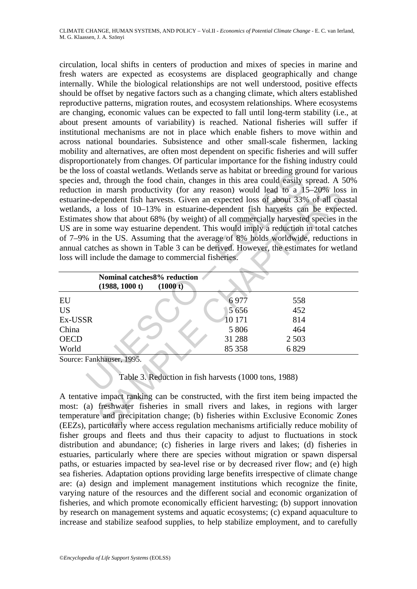So to coastal wellamis. We callus serve as hadned or breeding groups<br>and, through the food chain, changes in this area could easily and in marsh productivity (for any reason) would lead to a 1:<br>
e-dependent fish harvests. circulation, local shifts in centers of production and mixes of species in marine and fresh waters are expected as ecosystems are displaced geographically and change internally. While the biological relationships are not well understood, positive effects should be offset by negative factors such as a changing climate, which alters established reproductive patterns, migration routes, and ecosystem relationships. Where ecosystems are changing, economic values can be expected to fall until long-term stability (i.e., at about present amounts of variability) is reached. National fisheries will suffer if institutional mechanisms are not in place which enable fishers to move within and across national boundaries. Subsistence and other small-scale fishermen, lacking mobility and alternatives, are often most dependent on specific fisheries and will suffer disproportionately from changes. Of particular importance for the fishing industry could be the loss of coastal wetlands. Wetlands serve as habitat or breeding ground for various species and, through the food chain, changes in this area could easily spread. A 50% reduction in marsh productivity (for any reason) would lead to a 15–20% loss in estuarine-dependent fish harvests. Given an expected loss of about 33% of all coastal wetlands, a loss of 10–13% in estuarine-dependent fish harvests can be expected. Estimates show that about 68% (by weight) of all commercially harvested species in the US are in some way estuarine dependent. This would imply a reduction in total catches of 7–9% in the US. Assuming that the average of 8% holds worldwide, reductions in annual catches as shown in Table 3 can be derived. However, the estimates for wetland loss will include the damage to commercial fisheries.

| reduction in marsh productivity (for any reason) would lead to a 15–20% loss in                                                                                                                                                                                                                                                                          |         |         |  |  |  |  |  |                                                                                                                                                |  |  |  |  |  |  |  |  |
|----------------------------------------------------------------------------------------------------------------------------------------------------------------------------------------------------------------------------------------------------------------------------------------------------------------------------------------------------------|---------|---------|--|--|--|--|--|------------------------------------------------------------------------------------------------------------------------------------------------|--|--|--|--|--|--|--|--|
| estuarine-dependent fish harvests. Given an expected loss of about 33% of all coastal                                                                                                                                                                                                                                                                    |         |         |  |  |  |  |  |                                                                                                                                                |  |  |  |  |  |  |  |  |
| wetlands, a loss of 10–13% in estuarine-dependent fish harvests can be expected.<br>Estimates show that about 68% (by weight) of all commercially harvested species in the<br>US are in some way estuarine dependent. This would imply a reduction in total catches<br>of 7–9% in the US. Assuming that the average of 8% holds worldwide, reductions in |         |         |  |  |  |  |  |                                                                                                                                                |  |  |  |  |  |  |  |  |
|                                                                                                                                                                                                                                                                                                                                                          |         |         |  |  |  |  |  | annual catches as shown in Table 3 can be derived. However, the estimates for wetland<br>loss will include the damage to commercial fisheries. |  |  |  |  |  |  |  |  |
|                                                                                                                                                                                                                                                                                                                                                          |         |         |  |  |  |  |  |                                                                                                                                                |  |  |  |  |  |  |  |  |
|                                                                                                                                                                                                                                                                                                                                                          |         |         |  |  |  |  |  | Nominal catches 8% reduction                                                                                                                   |  |  |  |  |  |  |  |  |
| (1988, 1000 t)<br>(1000 t)                                                                                                                                                                                                                                                                                                                               |         |         |  |  |  |  |  |                                                                                                                                                |  |  |  |  |  |  |  |  |
| EU                                                                                                                                                                                                                                                                                                                                                       | 6977    | 558     |  |  |  |  |  |                                                                                                                                                |  |  |  |  |  |  |  |  |
| <b>US</b>                                                                                                                                                                                                                                                                                                                                                | 5 6 5 6 | 452     |  |  |  |  |  |                                                                                                                                                |  |  |  |  |  |  |  |  |
| Ex-USSR                                                                                                                                                                                                                                                                                                                                                  | 10 171  | 814     |  |  |  |  |  |                                                                                                                                                |  |  |  |  |  |  |  |  |
| China                                                                                                                                                                                                                                                                                                                                                    | 5 8 0 6 | 464     |  |  |  |  |  |                                                                                                                                                |  |  |  |  |  |  |  |  |
| <b>OECD</b>                                                                                                                                                                                                                                                                                                                                              | 31 288  | 2 5 0 3 |  |  |  |  |  |                                                                                                                                                |  |  |  |  |  |  |  |  |
| World                                                                                                                                                                                                                                                                                                                                                    | 85 35 8 | 6829    |  |  |  |  |  |                                                                                                                                                |  |  |  |  |  |  |  |  |
| Source: Fankhauser, 1995.                                                                                                                                                                                                                                                                                                                                |         |         |  |  |  |  |  |                                                                                                                                                |  |  |  |  |  |  |  |  |
|                                                                                                                                                                                                                                                                                                                                                          |         |         |  |  |  |  |  |                                                                                                                                                |  |  |  |  |  |  |  |  |
| Table 3. Reduction in fish harvests (1000 tons, 1988)                                                                                                                                                                                                                                                                                                    |         |         |  |  |  |  |  |                                                                                                                                                |  |  |  |  |  |  |  |  |
|                                                                                                                                                                                                                                                                                                                                                          |         |         |  |  |  |  |  |                                                                                                                                                |  |  |  |  |  |  |  |  |
| A tentative impact ranking can be constructed, with the first item being impacted the                                                                                                                                                                                                                                                                    |         |         |  |  |  |  |  |                                                                                                                                                |  |  |  |  |  |  |  |  |
| most: (a) freshwater fisheries in small rivers and lakes, in regions with larger                                                                                                                                                                                                                                                                         |         |         |  |  |  |  |  |                                                                                                                                                |  |  |  |  |  |  |  |  |
| temperature and precipitation change; (b) fisheries within Exclusive Economic Zones                                                                                                                                                                                                                                                                      |         |         |  |  |  |  |  |                                                                                                                                                |  |  |  |  |  |  |  |  |
| (EEZs), particularly where access regulation mechanisms artificially reduce mobility of                                                                                                                                                                                                                                                                  |         |         |  |  |  |  |  |                                                                                                                                                |  |  |  |  |  |  |  |  |

A tentative impact ranking can be constructed, with the first item being impacted the most: (a) freshwater fisheries in small rivers and lakes, in regions with larger temperature and precipitation change; (b) fisheries within Exclusive Economic Zones (EEZs), particularly where access regulation mechanisms artificially reduce mobility of fisher groups and fleets and thus their capacity to adjust to fluctuations in stock distribution and abundance; (c) fisheries in large rivers and lakes; (d) fisheries in estuaries, particularly where there are species without migration or spawn dispersal paths, or estuaries impacted by sea-level rise or by decreased river flow; and (e) high sea fisheries. Adaptation options providing large benefits irrespective of climate change are: (a) design and implement management institutions which recognize the finite, varying nature of the resources and the different social and economic organization of fisheries, and which promote economically efficient harvesting; (b) support innovation by research on management systems and aquatic ecosystems; (c) expand aquaculture to increase and stabilize seafood supplies, to help stabilize employment, and to carefully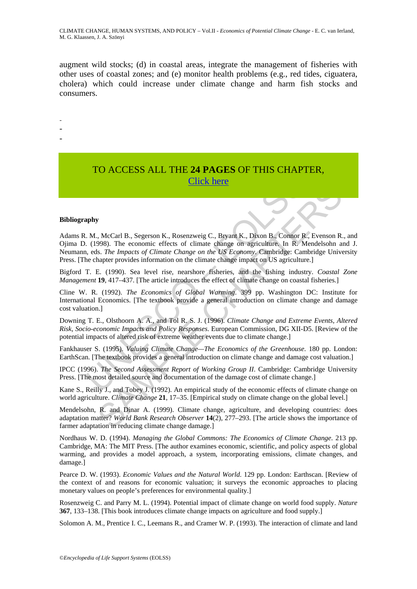augment wild stocks; (d) in coastal areas, integrate the management of fisheries with other uses of coastal zones; and (e) monitor health problems (e.g., red tides, ciguatera, cholera) which could increase under climate change and harm fish stocks and consumers.

-

- -
- -

# TO ACCESS ALL THE **24 PAGES** OF THIS CHAPTER, Click here

#### **Bibliography**

**Click here**<br> **Click here**<br> **Click here**<br> **Click here**<br> **Click here**<br> **Click here**<br> **Click here**<br> **Click here**<br> **Click here**<br> **Click here**<br> **Click here**<br> **Click here**<br> **Click here**<br> **Click here**<br> **Click here**<br> **Click here EXECUTE:**<br>
SAMPLE B., Segerson K., Rosenzweig C., Bryant K., Dixon B., Comor R. Evenson R., 1998). The economic effects of climate change on agriculture. In R. Mendelsohn and the *F.* Change of *Climate Change on the US* Adams R. M., McCarl B., Segerson K., Rosenzweig C., Bryant K., Dixon B., Connor R., Evenson R., and Ojima D. (1998). The economic effects of climate change on agriculture. In R. Mendelsohn and J. Neumann, eds. *The Impacts of Climate Change on the US Economy*. Cambridge: Cambridge University Press. [The chapter provides information on the climate change impact on US agriculture.]

Bigford T. E. (1990). Sea level rise, nearshore fisheries, and the fishing industry. *Coastal Zone Management* **19**, 417–437. [The article introduces the effect of climate change on coastal fisheries.]

Cline W. R. (1992). *The Economics of Global Warming*. 399 pp. Washington DC: Institute for International Economics. [The textbook provide a general introduction on climate change and damage cost valuation.]

Downing T. E., Olsthoorn A. A., and Tol R. S. J. (1996). *Climate Change and Extreme Events, Altered Risk, Socio-economic Impacts and Policy Responses*. European Commission, DG XII-D5. [Review of the potential impacts of altered risk of extreme weather events due to climate change.]

Fankhauser S. (1995). *Valuing Climate Change—The Economics of the Greenhouse*. 180 pp. London: EarthScan. [The textbook provides a general introduction on climate change and damage cost valuation.]

IPCC (1996). *The Second Assessment Report of Working Group II*. Cambridge: Cambridge University Press. [The most detailed source and documentation of the damage cost of climate change.]

Kane S., Reilly J., and Tobey J. (1992). An empirical study of the economic effects of climate change on world agriculture. *Climate Change* **21**, 17–35. [Empirical study on climate change on the global level.]

Mendelsohn, R. and Dinar A. (1999). Climate change, agriculture, and developing countries: does adaptation matter? *World Bank Research Observer* **14**(2), 277–293. [The article shows the importance of farmer adaptation in reducing climate change damage.]

Nordhaus W. D. (1994). *Managing the Global Commons: The Economics of Climate Change*. 213 pp. Cambridge, MA: The MIT Press. [The author examines economic, scientific, and policy aspects of global warming, and provides a model approach, a system, incorporating emissions, climate changes, and damage.]

Pearce D. W. (1993). *Economic Values and the Natural World*. 129 pp. London: Earthscan. [Review of the context of and reasons for economic valuation; it surveys the economic approaches to placing monetary values on people's preferences for environmental quality.]

Rosenzweig C. and Parry M. L. (1994). Potential impact of climate change on world food supply. *Nature* **367**, 133–138. [This book introduces climate change impacts on agriculture and food supply.]

Solomon A. M., Prentice I. C., Leemans R., and Cramer W. P. (1993). The interaction of climate and land